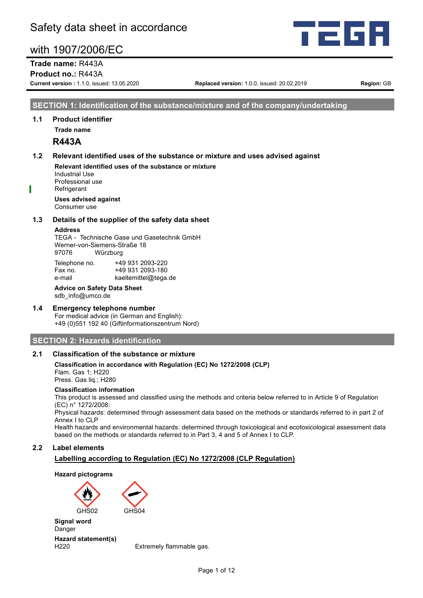

**Trade name:** R443A

**Product no.:** R443A

**Current version :** 1.1.0, issued: 13.05.2020 **Replaced version:** 1.0.0, issued: 20.02.2019 **Region:** GB

#### **SECTION 1: Identification of the substance/mixture and of the company/undertaking**

#### **1.1 Product identifier**

**Trade name**

#### **R443A**

#### **1.2 Relevant identified uses of the substance or mixture and uses advised against**

**Relevant identified uses of the substance or mixture** Industrial Use Professional use **Refrigerant** 

**Uses advised against** Consumer use

#### **1.3 Details of the supplier of the safety data sheet**

#### **Address**

TEGA - Technische Gase und Gasetechnik GmbH Werner-von-Siemens-Straße 18 97076 Würzburg

| Telephone no. | +49 931 2093-220     |
|---------------|----------------------|
| Fax no.       | +49 931 2093-180     |
| e-mail        | kaeltemittel@tega.de |

**Advice on Safety Data Sheet** sdb\_info@umco.de

#### **1.4 Emergency telephone number**

For medical advice (in German and English): +49 (0)551 192 40 (Giftinformationszentrum Nord)

#### **SECTION 2: Hazards identification**

#### **2.1 Classification of the substance or mixture**

#### **Classification in accordance with Regulation (EC) No 1272/2008 (CLP)** Flam. Gas 1; H220 Press. Gas liq.; H280

#### **Classification information**

This product is assessed and classified using the methods and criteria below referred to in Article 9 of Regulation (EC) n° 1272/2008:

Physical hazards: determined through assessment data based on the methods or standards referred to in part 2 of Annex I to CLP

Health hazards and environmental hazards: determined through toxicological and ecotoxicological assessment data based on the methods or standards referred to in Part 3, 4 and 5 of Annex I to CLP.

#### **2.2 Label elements**

#### **Labelling according to Regulation (EC) No 1272/2008 (CLP Regulation)**

#### **Hazard pictograms**



**Signal word** Danger

**Hazard statement(s)**

H220 Extremely flammable gas.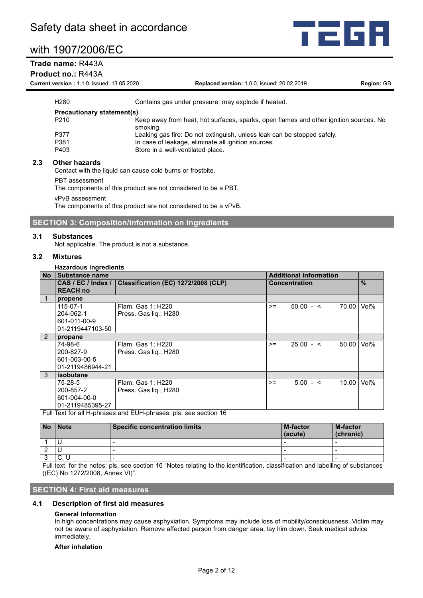#### **Trade name:** R443A

#### **Product no.:** R443A

**Current version :** 1.1.0, issued: 13.05.2020 **Replaced version:** 1.0.0, issued: 20.02.2019 **Region:** GB

368

| H <sub>280</sub>                  | Contains gas under pressure; may explode if heated.                                               |
|-----------------------------------|---------------------------------------------------------------------------------------------------|
| <b>Precautionary statement(s)</b> |                                                                                                   |
| P <sub>210</sub>                  | Keep away from heat, hot surfaces, sparks, open flames and other ignition sources. No<br>smoking. |
| P377                              | Leaking gas fire: Do not extinguish, unless leak can be stopped safely.                           |
| P381                              | In case of leakage, eliminate all ignition sources.                                               |
| P403                              | Store in a well-ventilated place.                                                                 |
| Atlana historiada                 |                                                                                                   |

#### **2.3 Other hazards**

Contact with the liquid can cause cold burns or frostbite.

PBT assessment

The components of this product are not considered to be a PBT.

vPvB assessment

The components of this product are not considered to be a vPvB.

#### **SECTION 3: Composition/information on ingredients**

#### **3.1 Substances**

Not applicable. The product is not a substance.

#### **3.2 Mixtures**

#### **Hazardous ingredients**

| <b>No</b> | <b>Substance name</b>                                                   |                                     | <b>Additional information</b> |                      |       |      |  |
|-----------|-------------------------------------------------------------------------|-------------------------------------|-------------------------------|----------------------|-------|------|--|
|           | CAS / EC / Index /                                                      | Classification (EC) 1272/2008 (CLP) |                               | <b>Concentration</b> |       | $\%$ |  |
|           | <b>REACH no</b>                                                         |                                     |                               |                      |       |      |  |
|           | propene                                                                 |                                     |                               |                      |       |      |  |
|           | $115 - 07 - 1$                                                          | Flam. Gas 1; H220                   | $>=$                          | $50.00 - 5$          | 70.00 | Vol% |  |
|           | 204-062-1                                                               | Press. Gas lig.; H280               |                               |                      |       |      |  |
|           | 601-011-00-9                                                            |                                     |                               |                      |       |      |  |
|           | 01-2119447103-50                                                        |                                     |                               |                      |       |      |  |
| 2         | propane                                                                 |                                     |                               |                      |       |      |  |
|           | 74-98-6                                                                 | Flam. Gas 1; H220                   | $>=$                          | $25.00 - c$          | 50.00 | Vol% |  |
|           | 200-827-9                                                               | Press. Gas lig.; H280               |                               |                      |       |      |  |
|           | 601-003-00-5                                                            |                                     |                               |                      |       |      |  |
|           | 01-2119486944-21                                                        |                                     |                               |                      |       |      |  |
| 3         | isobutane                                                               |                                     |                               |                      |       |      |  |
|           | 75-28-5                                                                 | Flam. Gas 1; H220                   | $>=$                          | $5.00 - <$           | 10.00 | Vol% |  |
|           | 200-857-2                                                               | Press. Gas lig.; H280               |                               |                      |       |      |  |
|           | 601-004-00-0                                                            |                                     |                               |                      |       |      |  |
|           | 01-2119485395-27                                                        |                                     |                               |                      |       |      |  |
|           | Ealt Tard for all the beases and Ethiopian and a state as a state of AA |                                     |                               |                      |       |      |  |

Full Text for all H-phrases and EUH-phrases: pls. see section 16

| <b>No</b> | <b>Note</b> | <b>Specific concentration limits</b> | <b>M-factor</b><br>(acute) | <b>M-factor</b><br>(chronic) |
|-----------|-------------|--------------------------------------|----------------------------|------------------------------|
|           |             |                                      |                            |                              |
|           |             |                                      | -                          |                              |
|           | U.          |                                      | -                          | $\overline{\phantom{a}}$     |
|           |             |                                      |                            |                              |

Full text for the notes: pls. see section 16 "Notes relating to the identification, classification and labelling of substances ((EC) No 1272/2008, Annex VI)".

#### **SECTION 4: First aid measures**

#### **4.1 Description of first aid measures**

#### **General information**

In high concentrations may cause asphyxiation. Symptoms may include loss of mobility/consciousness. Victim may not be aware of asphyxiation. Remove affected person from danger area, lay him down. Seek medical advice immediately.

#### **After inhalation**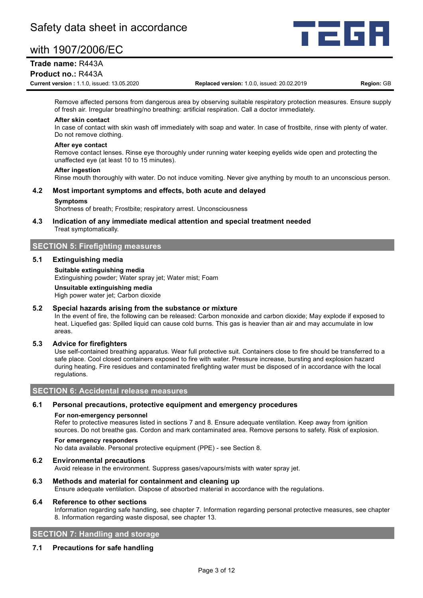

#### **Trade name:** R443A

#### **Product no.:** R443A

**Current version :** 1.1.0, issued: 13.05.2020 **Replaced version:** 1.0.0, issued: 20.02.2019 **Region:** GB

Remove affected persons from dangerous area by observing suitable respiratory protection measures. Ensure supply of fresh air. Irregular breathing/no breathing: artificial respiration. Call a doctor immediately.

#### **After skin contact**

In case of contact with skin wash off immediately with soap and water. In case of frostbite, rinse with plenty of water. Do not remove clothing.

#### **After eye contact**

Remove contact lenses. Rinse eye thoroughly under running water keeping eyelids wide open and protecting the unaffected eye (at least 10 to 15 minutes).

#### **After ingestion**

Rinse mouth thoroughly with water. Do not induce vomiting. Never give anything by mouth to an unconscious person.

#### **4.2 Most important symptoms and effects, both acute and delayed**

#### **Symptoms**

Shortness of breath; Frostbite; respiratory arrest. Unconsciousness

#### **4.3 Indication of any immediate medical attention and special treatment needed** Treat symptomatically.

#### **SECTION 5: Firefighting measures**

#### **5.1 Extinguishing media**

#### **Suitable extinguishing media**

Extinguishing powder; Water spray jet; Water mist; Foam

#### **Unsuitable extinguishing media**

High power water jet; Carbon dioxide

#### **5.2 Special hazards arising from the substance or mixture**

In the event of fire, the following can be released: Carbon monoxide and carbon dioxide; May explode if exposed to heat. Liquefied gas: Spilled liquid can cause cold burns. This gas is heavier than air and may accumulate in low areas.

#### **5.3 Advice for firefighters**

Use self-contained breathing apparatus. Wear full protective suit. Containers close to fire should be transferred to a safe place. Cool closed containers exposed to fire with water. Pressure increase, bursting and explosion hazard during heating. Fire residues and contaminated firefighting water must be disposed of in accordance with the local regulations.

#### **SECTION 6: Accidental release measures**

#### **6.1 Personal precautions, protective equipment and emergency procedures**

#### **For non-emergency personnel**

Refer to protective measures listed in sections 7 and 8. Ensure adequate ventilation. Keep away from ignition sources. Do not breathe gas. Cordon and mark contaminated area. Remove persons to safety. Risk of explosion.

#### **For emergency responders**

No data available. Personal protective equipment (PPE) - see Section 8.

#### **6.2 Environmental precautions**

Avoid release in the environment. Suppress gases/vapours/mists with water spray jet.

#### **6.3 Methods and material for containment and cleaning up**

Ensure adequate ventilation. Dispose of absorbed material in accordance with the regulations.

#### **6.4 Reference to other sections**

Information regarding safe handling, see chapter 7. Information regarding personal protective measures, see chapter 8. Information regarding waste disposal, see chapter 13.

#### **SECTION 7: Handling and storage**

#### **7.1 Precautions for safe handling**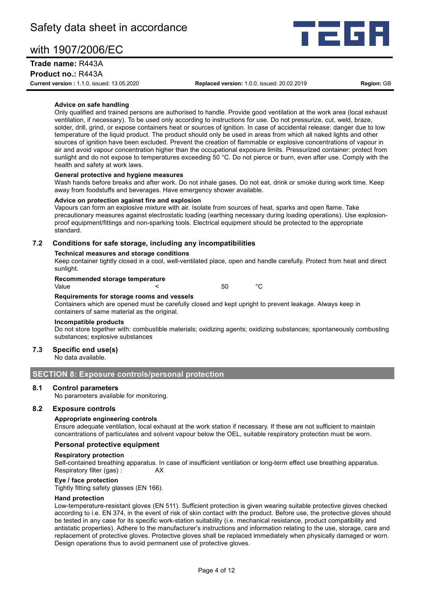#### **Trade name:** R443A

**Product no.:** R443A

**Current version :** 1.1.0, issued: 13.05.2020 **Replaced version:** 1.0.0, issued: 20.02.2019 **Region:** GB

FG

#### **Advice on safe handling**

Only qualified and trained persons are authorised to handle. Provide good ventilation at the work area (local exhaust ventilation, if necessary). To be used only according to instructions for use. Do not pressurize, cut, weld, braze, solder, drill, grind, or expose containers heat or sources of ignition. In case of accidental release: danger due to low temperature of the liquid product. The product should only be used in areas from which all naked lights and other sources of ignition have been excluded. Prevent the creation of flammable or explosive concentrations of vapour in air and avoid vapour concentration higher than the occupational exposure limits. Pressurized container: protect from sunlight and do not expose to temperatures exceeding 50 °C. Do not pierce or burn, even after use. Comply with the health and safety at work laws.

#### **General protective and hygiene measures**

Wash hands before breaks and after work. Do not inhale gases. Do not eat, drink or smoke during work time. Keep away from foodstuffs and beverages. Have emergency shower available.

#### **Advice on protection against fire and explosion**

Vapours can form an explosive mixture with air. Isolate from sources of heat, sparks and open flame. Take precautionary measures against electrostatic loading (earthing necessary during loading operations). Use explosionproof equipment/fittings and non-sparking tools. Electrical equipment should be protected to the appropriate standard.

#### **7.2 Conditions for safe storage, including any incompatibilities**

#### **Technical measures and storage conditions**

Keep container tightly closed in a cool, well-ventilated place, open and handle carefully. Protect from heat and direct sunlight.

#### **Recommended storage temperature**

Value **CONFIDENT CONFIDENT CONFIDENT** CONFIDENT CONFIDENT CONFIDENT CONFIDENT CONFIDENTIAL CONFIDENT CONFIDENTI

#### **Requirements for storage rooms and vessels**

Containers which are opened must be carefully closed and kept upright to prevent leakage. Always keep in containers of same material as the original.

#### **Incompatible products**

Do not store together with: combustible materials; oxidizing agents; oxidizing substances; spontaneously combusting substances; explosive substances

#### **7.3 Specific end use(s)**

No data available.

#### **SECTION 8: Exposure controls/personal protection**

#### **8.1 Control parameters**

No parameters available for monitoring.

#### **8.2 Exposure controls**

#### **Appropriate engineering controls**

Ensure adequate ventilation, local exhaust at the work station if necessary. If these are not sufficient to maintain concentrations of particulates and solvent vapour below the OEL, suitable respiratory protection must be worn.

#### **Personal protective equipment**

#### **Respiratory protection**

Self-contained breathing apparatus. In case of insufficient ventilation or long-term effect use breathing apparatus. Respiratory filter (gas) : <br>AX

#### **Eye / face protection**

Tightly fitting safety glasses (EN 166).

#### **Hand protection**

Low-temperature-resistant gloves (EN 511). Sufficient protection is given wearing suitable protective gloves checked according to i.e. EN 374, in the event of risk of skin contact with the product. Before use, the protective gloves should be tested in any case for its specific work-station suitability (i.e. mechanical resistance, product compatibility and antistatic properties). Adhere to the manufacturer's instructions and information relating to the use, storage, care and replacement of protective gloves. Protective gloves shall be replaced immediately when physically damaged or worn. Design operations thus to avoid permanent use of protective gloves.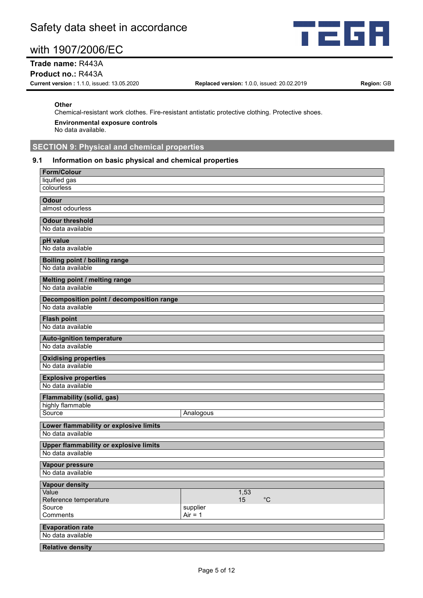

#### **Trade name:** R443A

#### **Product no.:** R443A

**Current version :** 1.1.0, issued: 13.05.2020 **Replaced version:** 1.0.0, issued: 20.02.2019 **Region:** GB

#### **Other**

Chemical-resistant work clothes. Fire-resistant antistatic protective clothing. Protective shoes.

**Environmental exposure controls**

No data available.

### **SECTION 9: Physical and chemical properties**

#### **9.1 Information on basic physical and chemical properties**

| <b>Form/Colour</b>                                                 |                         |
|--------------------------------------------------------------------|-------------------------|
| liquified gas                                                      |                         |
| colourless                                                         |                         |
| <b>Odour</b>                                                       |                         |
| almost odourless                                                   |                         |
| <b>Odour threshold</b>                                             |                         |
| No data available                                                  |                         |
|                                                                    |                         |
| pH value<br>No data available                                      |                         |
|                                                                    |                         |
| Boiling point / boiling range                                      |                         |
| No data available                                                  |                         |
| Melting point / melting range                                      |                         |
| No data available                                                  |                         |
| Decomposition point / decomposition range                          |                         |
| No data available                                                  |                         |
| <b>Flash point</b>                                                 |                         |
| No data available                                                  |                         |
|                                                                    |                         |
| <b>Auto-ignition temperature</b><br>No data available              |                         |
|                                                                    |                         |
| <b>Oxidising properties</b>                                        |                         |
| No data available                                                  |                         |
| <b>Explosive properties</b>                                        |                         |
| No data available                                                  |                         |
| <b>Flammability (solid, gas)</b>                                   |                         |
| highly flammable                                                   |                         |
| Source                                                             | Analogous               |
| Lower flammability or explosive limits                             |                         |
| No data available                                                  |                         |
|                                                                    |                         |
| <b>Upper flammability or explosive limits</b><br>No data available |                         |
|                                                                    |                         |
| Vapour pressure                                                    |                         |
| No data available                                                  |                         |
| <b>Vapour density</b>                                              |                         |
| Value                                                              | 1,53                    |
| Reference temperature                                              | $^{\circ}{\rm C}$<br>15 |
| Source                                                             | supplier<br>$Air = 1$   |
| Comments                                                           |                         |
| <b>Evaporation rate</b>                                            |                         |
| No data available                                                  |                         |
| <b>Relative density</b>                                            |                         |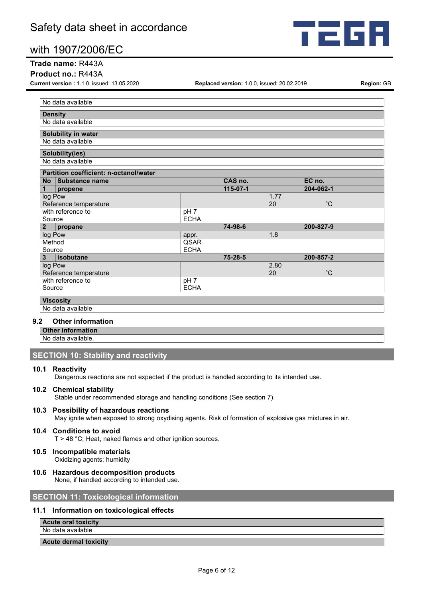

#### **Trade name:** R443A

#### **Product no.:** R443A

**Current version :** 1.1.0, issued: 13.05.2020 **Replaced version:** 1.0.0, issued: 20.02.2019 **Region:** GB

| No data available                      |  |                 |               |      |              |  |
|----------------------------------------|--|-----------------|---------------|------|--------------|--|
| <b>Density</b>                         |  |                 |               |      |              |  |
| No data available                      |  |                 |               |      |              |  |
| Solubility in water                    |  |                 |               |      |              |  |
| No data available                      |  |                 |               |      |              |  |
| Solubility(ies)                        |  |                 |               |      |              |  |
| No data available                      |  |                 |               |      |              |  |
| Partition coefficient: n-octanol/water |  |                 |               |      |              |  |
| Substance name<br><b>No</b>            |  |                 | CAS no.       |      | EC no.       |  |
| 1<br>propene                           |  |                 | 115-07-1      |      | 204-062-1    |  |
| log Pow                                |  |                 |               | 1.77 |              |  |
| Reference temperature                  |  |                 |               | 20   | $^{\circ}$ C |  |
| with reference to                      |  | pH <sub>7</sub> |               |      |              |  |
| Source                                 |  | <b>ECHA</b>     |               |      |              |  |
| 2 <sub>2</sub><br>propane              |  |                 | 74-98-6       |      | 200-827-9    |  |
| log Pow                                |  | appr.           |               | 1.8  |              |  |
| Method                                 |  | QSAR            |               |      |              |  |
| Source                                 |  | <b>ECHA</b>     |               |      |              |  |
| $\mathbf{3}$<br>isobutane              |  |                 | $75 - 28 - 5$ |      | 200-857-2    |  |
| log Pow                                |  |                 |               | 2.80 |              |  |
| Reference temperature                  |  |                 |               | 20   | $^{\circ}$ C |  |
| with reference to                      |  | pH <sub>7</sub> |               |      |              |  |
| Source                                 |  | <b>ECHA</b>     |               |      |              |  |
|                                        |  |                 |               |      |              |  |
| <b>Viscosity</b>                       |  |                 |               |      |              |  |

No data available

#### **9.2 Other information**

**Other information** No data available.

#### **SECTION 10: Stability and reactivity**

#### **10.1 Reactivity**

Dangerous reactions are not expected if the product is handled according to its intended use.

#### **10.2 Chemical stability**

Stable under recommended storage and handling conditions (See section 7).

#### **10.3 Possibility of hazardous reactions**

May ignite when exposed to strong oxydising agents. Risk of formation of explosive gas mixtures in air.

#### **10.4 Conditions to avoid**

T > 48 °C; Heat, naked flames and other ignition sources.

#### **10.5 Incompatible materials** Oxidizing agents; humidity

### **10.6 Hazardous decomposition products**

None, if handled according to intended use.

#### **SECTION 11: Toxicological information**

#### **11.1 Information on toxicological effects**

**Acute oral toxicity**

No data available

#### **Acute dermal toxicity**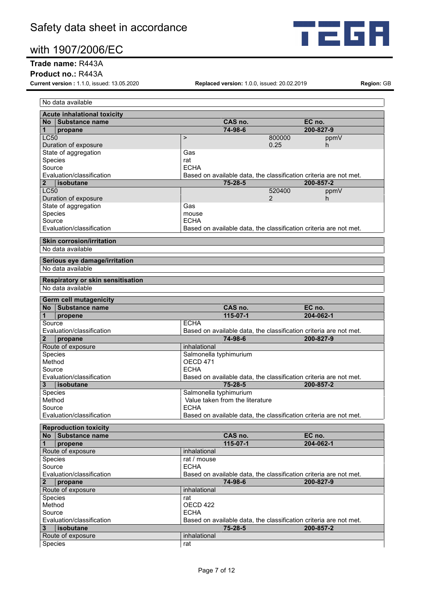

#### **Trade name:** R443A

**Product no.:** R443A

**Current version :** 1.1.0, issued: 13.05.2020 **Replaced version:** 1.0.0, issued: 20.02.2019 **Region:** GB

| No data available                                        |                                                                                    |                     |
|----------------------------------------------------------|------------------------------------------------------------------------------------|---------------------|
| <b>Acute inhalational toxicity</b>                       |                                                                                    |                     |
| No Substance name                                        | CAS no.                                                                            | EC no.              |
| $\mathbf 1$<br>propane                                   | 74-98-6                                                                            | 200-827-9           |
| <b>LC50</b>                                              | $\geq$<br>800000                                                                   | ppmV                |
| Duration of exposure                                     | 0.25                                                                               | h.                  |
| State of aggregation                                     | Gas                                                                                |                     |
| Species                                                  | rat                                                                                |                     |
| Source                                                   | <b>ECHA</b>                                                                        |                     |
| Evaluation/classification<br>l isobutane<br>$\mathbf{2}$ | Based on available data, the classification criteria are not met.<br>$75 - 28 - 5$ | 200-857-2           |
| <b>LC50</b>                                              | 520400                                                                             | ppmV                |
| Duration of exposure                                     | 2                                                                                  | h.                  |
| State of aggregation                                     | Gas                                                                                |                     |
| Species                                                  | mouse                                                                              |                     |
| Source                                                   | <b>ECHA</b>                                                                        |                     |
| Evaluation/classification                                | Based on available data, the classification criteria are not met.                  |                     |
| <b>Skin corrosion/irritation</b>                         |                                                                                    |                     |
| No data available                                        |                                                                                    |                     |
| Serious eye damage/irritation                            |                                                                                    |                     |
| No data available                                        |                                                                                    |                     |
| Respiratory or skin sensitisation                        |                                                                                    |                     |
| No data available                                        |                                                                                    |                     |
| Germ cell mutagenicity                                   |                                                                                    |                     |
| No Substance name                                        | CAS no.                                                                            | EC no.              |
| $\mathbf{1}$<br>propene                                  | 115-07-1                                                                           | $204 - 062 - 1$     |
| Source                                                   | <b>ECHA</b>                                                                        |                     |
| Evaluation/classification                                | Based on available data, the classification criteria are not met.                  |                     |
| $\mathbf{2}$<br>propane                                  | 74-98-6                                                                            | 200-827-9           |
| Route of exposure                                        | inhalational                                                                       |                     |
| Species                                                  | Salmonella typhimurium                                                             |                     |
| Method                                                   | OECD 471                                                                           |                     |
| Source                                                   | <b>ECHA</b>                                                                        |                     |
| Evaluation/classification                                | Based on available data, the classification criteria are not met.                  |                     |
| 3<br>  isobutane                                         | $75 - 28 - 5$                                                                      | 200-857-2           |
| Species                                                  | Salmonella typhimurium                                                             |                     |
| Method                                                   | Value taken from the literature<br><b>ECHA</b>                                     |                     |
| Source<br>Evaluation/classification                      | Based on available data, the classification criteria are not met.                  |                     |
|                                                          |                                                                                    |                     |
| <b>Reproduction toxicity</b>                             | CAS no.                                                                            |                     |
| No Substance name<br>1<br>propene                        | 115-07-1                                                                           | EC no.<br>204-062-1 |
| Route of exposure                                        | inhalational                                                                       |                     |
| Species                                                  | rat / mouse                                                                        |                     |
| Source                                                   | <b>ECHA</b>                                                                        |                     |
| Evaluation/classification                                | Based on available data, the classification criteria are not met.                  |                     |
| $\mathbf{2}$<br>propane                                  | 74-98-6                                                                            | 200-827-9           |
| Route of exposure                                        | inhalational                                                                       |                     |
| Species                                                  | rat                                                                                |                     |
| Method                                                   | OECD 422                                                                           |                     |
| Source                                                   | <b>ECHA</b>                                                                        |                     |
| Evaluation/classification                                | Based on available data, the classification criteria are not met.                  |                     |
| isobutane<br>3                                           | 75-28-5                                                                            | 200-857-2           |
| Route of exposure                                        | inhalational                                                                       |                     |
| Species                                                  | rat                                                                                |                     |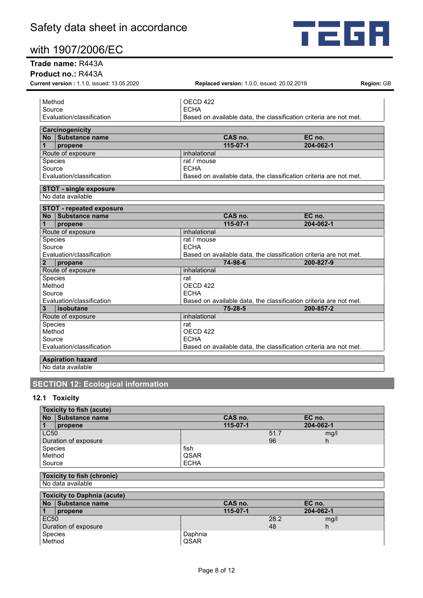

#### **Trade name:** R443A

**Product no.:** R443A

| Current version: 1.1.0, issued: 13.05.2020 | Replaced version: 1.0.0, issued: 20.02.2019                       | Region: GB |
|--------------------------------------------|-------------------------------------------------------------------|------------|
| Method                                     | OECD <sub>422</sub>                                               |            |
| Source                                     | <b>ECHA</b>                                                       |            |
| Evaluation/classification                  | Based on available data, the classification criteria are not met. |            |
|                                            |                                                                   |            |
| Carcinogenicity                            |                                                                   |            |
| No Substance name                          | CAS no.                                                           | EC no.     |
| propene                                    | $115 - 07 - 1$                                                    | 204-062-1  |
| Route of exposure                          | inhalational                                                      |            |
| <b>Species</b>                             | rat / mouse                                                       |            |
| Source                                     | <b>ECHA</b>                                                       |            |
| Evaluation/classification                  | Based on available data, the classification criteria are not met. |            |
|                                            |                                                                   |            |
| <b>STOT - single exposure</b>              |                                                                   |            |
| No data available                          |                                                                   |            |
| <b>STOT - repeated exposure</b>            |                                                                   |            |
| No Substance name                          | CAS no.                                                           | EC no.     |
| propene                                    | $115 - 07 - 1$                                                    | 204-062-1  |
| Route of exposure                          | inhalational                                                      |            |
| Species                                    | rat / mouse                                                       |            |
| Source                                     | <b>FCHA</b>                                                       |            |
| Evaluation/classification                  | Based on available data, the classification criteria are not met. |            |
|                                            |                                                                   |            |
| $\mathbf{2}$<br>propane                    | 74-98-6                                                           | 200-827-9  |
| Route of exposure                          | inhalational                                                      |            |
| Species                                    | rat                                                               |            |
| Method                                     | OECD 422                                                          |            |
| Source                                     | <b>ECHA</b>                                                       |            |
| Evaluation/classification                  | Based on available data, the classification criteria are not met. |            |
| 3<br>l isobutane                           | $75 - 28 - 5$                                                     | 200-857-2  |
| Route of exposure                          | inhalational                                                      |            |
| Species                                    | rat                                                               |            |
| Method                                     | OECD 422                                                          |            |
| Source                                     | <b>ECHA</b>                                                       |            |

### **SECTION 12: Ecological information**

### **12.1 Toxicity**

| Toxicity to fish (acute) |                      |             |                |      |           |  |
|--------------------------|----------------------|-------------|----------------|------|-----------|--|
| <b>No</b>                | Substance name       |             | CAS no.        |      | EC no.    |  |
| $\overline{1}$           | propene              |             | $115 - 07 - 1$ |      | 204-062-1 |  |
| <b>LC50</b>              |                      |             |                | 51.7 | mg/l      |  |
|                          | Duration of exposure |             |                | 96   | h         |  |
| Species                  |                      | fish        |                |      |           |  |
| Method                   |                      | QSAR        |                |      |           |  |
| Source                   |                      | <b>ECHA</b> |                |      |           |  |
|                          |                      |             |                |      |           |  |

#### **Toxicity to fish (chronic)** No data available

| <b>Toxicity to Daphnia (acute)</b> |                |         |                |      |           |
|------------------------------------|----------------|---------|----------------|------|-----------|
| <b>No</b>                          | Substance name |         | CAS no.        |      | EC no.    |
|                                    | propene        |         | $115 - 07 - 1$ |      | 204-062-1 |
| EC <sub>50</sub>                   |                |         |                | 28.2 | mg/l      |
| Duration of exposure               |                |         |                | 48   |           |
| Species                            |                | Daphnia |                |      |           |
| Method                             |                | QSAR    |                |      |           |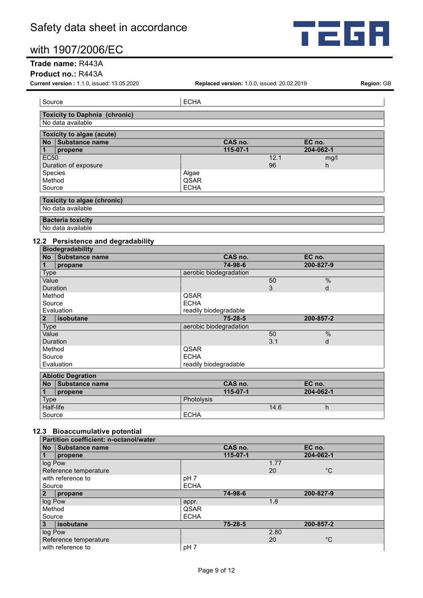

#### **Trade name:** R443A

#### **Product no.:** R443A

**Current version :** 1.1.0, issued: 13.05.2020 **Replaced version:** 1.0.0, issued: 20.02.2019 **Region:** GB

| Source                               | <b>ECHA</b> |                |      |           |
|--------------------------------------|-------------|----------------|------|-----------|
| <b>Toxicity to Daphnia (chronic)</b> |             |                |      |           |
| No data available                    |             |                |      |           |
| <b>Toxicity to algae (acute)</b>     |             |                |      |           |
| Substance name<br>No.                |             | CAS no.        |      | EC no.    |
| 1<br>propene                         |             | $115 - 07 - 1$ |      | 204-062-1 |
| <b>EC50</b>                          |             |                | 12.1 | mg/l      |
| Duration of exposure                 |             |                | 96   | h         |
| Species                              | Algae       |                |      |           |
| Method                               | QSAR        |                |      |           |
| Source                               | <b>ECHA</b> |                |      |           |
| <b>Toxicity to algae (chronic)</b>   |             |                |      |           |
| No data available                    |             |                |      |           |
| <b>Bacteria toxicity</b>             |             |                |      |           |
| No data available                    |             |                |      |           |
| 12.2 Persistence and degradability   |             |                |      |           |
| <b>Biodegradability</b>              |             |                |      |           |
| Substance name<br><b>No</b>          |             | CAS no.        |      | EC no.    |

| <b>IVU</b>      | <b>Supstance name</b>    | UAJ IIU.               |     | EV IIV.       |  |
|-----------------|--------------------------|------------------------|-----|---------------|--|
|                 | propane                  | 74-98-6                |     | 200-827-9     |  |
| <b>Type</b>     |                          | aerobic biodegradation |     |               |  |
| Value           |                          |                        | 50  | %             |  |
| Duration        |                          |                        | 3   | d             |  |
| Method          |                          | QSAR                   |     |               |  |
| Source          |                          | <b>ECHA</b>            |     |               |  |
|                 | Evaluation               | readily biodegradable  |     |               |  |
| isobutane       |                          | $75 - 28 - 5$          |     | 200-857-2     |  |
| <b>Type</b>     |                          | aerobic biodegradation |     |               |  |
| Value           |                          |                        | 50  | $\frac{0}{0}$ |  |
| <b>Duration</b> |                          |                        | 3.1 | d             |  |
| Method          |                          | QSAR                   |     |               |  |
| Source          |                          | <b>ECHA</b>            |     |               |  |
| Evaluation      |                          | readily biodegradable  |     |               |  |
|                 | <b>Abiotic Degration</b> |                        |     |               |  |
| <b>No</b>       | <b>Substance name</b>    | CAS no.                |     | EC no.        |  |
| 1               | propene                  | 115-07-1               |     | 204-062-1     |  |

|           |             | No TSupstance name |            | <b>CAS NO.</b> |  | EG NO.    |  |
|-----------|-------------|--------------------|------------|----------------|--|-----------|--|
|           |             | propene            |            | $115 - 07 - 1$ |  | 204-062-1 |  |
|           | <b>Type</b> |                    | Photolysis |                |  |           |  |
| Half-life |             |                    |            | 14.6           |  |           |  |
| Source    |             | <b>ECHA</b>        |            |                |  |           |  |

#### **12.3 Bioaccumulative potential**

| Partition coefficient: n-octanol/water |                 |                |      |             |  |  |
|----------------------------------------|-----------------|----------------|------|-------------|--|--|
| <b>No</b><br><b>Substance name</b>     |                 | CAS no.        |      | EC no.      |  |  |
| propene                                |                 | $115 - 07 - 1$ |      | 204-062-1   |  |  |
| log Pow                                |                 |                | 1.77 |             |  |  |
| Reference temperature                  |                 |                | 20   | $^{\circ}C$ |  |  |
| with reference to                      | pH <sub>7</sub> |                |      |             |  |  |
| Source                                 | <b>ECHA</b>     |                |      |             |  |  |
| propane                                |                 | 74-98-6        |      | 200-827-9   |  |  |
| log Pow                                | appr.           |                | 1.8  |             |  |  |
| Method                                 | QSAR            |                |      |             |  |  |
| Source                                 | <b>ECHA</b>     |                |      |             |  |  |
| isobutane<br>3                         |                 | 75-28-5        |      | 200-857-2   |  |  |
| log Pow                                |                 |                | 2.80 |             |  |  |
| Reference temperature                  |                 |                | 20   | $^{\circ}C$ |  |  |
| with reference to                      | pH 7            |                |      |             |  |  |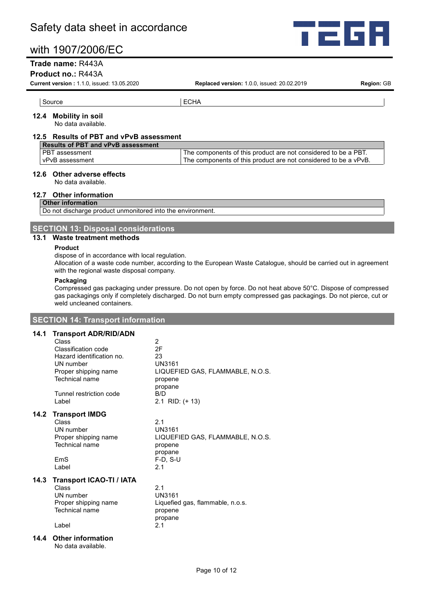

#### **Trade name:** R443A

#### **Product no.:** R443A

**Current version :** 1.1.0, issued: 13.05.2020 **Replaced version:** 1.0.0, issued: 20.02.2019 **Region:** GB

#### **12.4 Mobility in soil**

No data available.

#### **12.5 Results of PBT and vPvB assessment**

Source ECHA

| <b>Results of PBT and vPvB assessment</b> |                                                                 |  |  |  |
|-------------------------------------------|-----------------------------------------------------------------|--|--|--|
| <b>PBT</b> assessment                     | The components of this product are not considered to be a PBT.  |  |  |  |
| vPvB assessment                           | The components of this product are not considered to be a vPvB. |  |  |  |

#### **12.6 Other adverse effects**

No data available.

#### **12.7 Other information**

#### **Other information**

Do not discharge product unmonitored into the environment.

**SECTION 13: Disposal considerations**

#### **13.1 Waste treatment methods**

#### **Product**

dispose of in accordance with local regulation.

Allocation of a waste code number, according to the European Waste Catalogue, should be carried out in agreement with the regional waste disposal company.

#### **Packaging**

Compressed gas packaging under pressure. Do not open by force. Do not heat above 50°C. Dispose of compressed gas packagings only if completely discharged. Do not burn empty compressed gas packagings. Do not pierce, cut or weld uncleaned containers.

#### **SECTION 14: Transport information**

#### **14.1 Transport ADR/RID/ADN**

|      | Hansport AbivitibiAbit          |                                  |
|------|---------------------------------|----------------------------------|
|      | Class                           | $\overline{2}$                   |
|      | Classification code             | 2F                               |
|      | Hazard identification no.       | 23                               |
|      | UN number                       | UN3161                           |
|      | Proper shipping name            | LIQUEFIED GAS, FLAMMABLE, N.O.S. |
|      | <b>Technical name</b>           | propene                          |
|      |                                 | propane                          |
|      | Tunnel restriction code         | B/D                              |
|      | I abel                          | 2.1 RID: $(+ 13)$                |
|      | 14.2 Transport IMDG             |                                  |
|      | Class                           | 2.1                              |
|      | UN number                       | UN3161                           |
|      | Proper shipping name            | LIQUEFIED GAS, FLAMMABLE, N.O.S. |
|      | Technical name                  | propene                          |
|      |                                 | propane                          |
|      | EmS                             | $F-D, S-U$                       |
|      | I abel                          | 2.1                              |
| 14.3 | <b>Transport ICAO-TI / IATA</b> |                                  |
|      | Class                           | 2.1                              |
|      | UN number                       | UN3161                           |
|      | Proper shipping name            | Liquefied gas, flammable, n.o.s. |
|      | <b>Technical name</b>           | propene                          |
|      |                                 | propane                          |
|      | Label                           | 2.1                              |
| 14.4 | <b>Other information</b>        |                                  |
|      | No data available.              |                                  |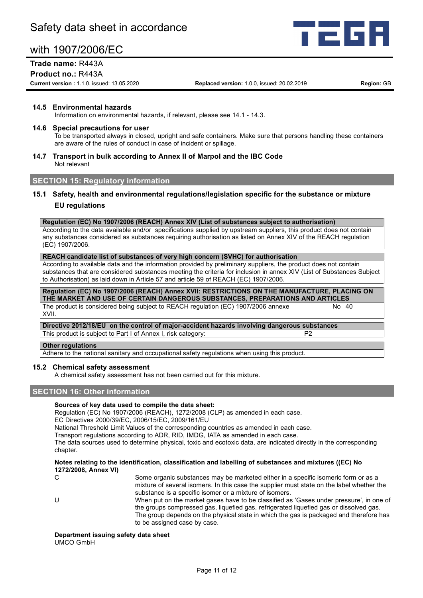

### **Trade name:** R443A

#### **Product no.:** R443A

**Current version :** 1.1.0, issued: 13.05.2020 **Replaced version:** 1.0.0, issued: 20.02.2019 **Region:** GB

#### **14.5 Environmental hazards**

Information on environmental hazards, if relevant, please see 14.1 - 14.3.

#### **14.6 Special precautions for user**

To be transported always in closed, upright and safe containers. Make sure that persons handling these containers are aware of the rules of conduct in case of incident or spillage.

#### **14.7 Transport in bulk according to Annex II of Marpol and the IBC Code** Not relevant

#### **SECTION 15: Regulatory information**

#### **15.1 Safety, health and environmental regulations/legislation specific for the substance or mixture EU regulations**

#### **Regulation (EC) No 1907/2006 (REACH) Annex XIV (List of substances subject to authorisation)**

According to the data available and/or specifications supplied by upstream suppliers, this product does not contain any substances considered as substances requiring authorisation as listed on Annex XIV of the REACH regulation (EC) 1907/2006.

#### **REACH candidate list of substances of very high concern (SVHC) for authorisation**

According to available data and the information provided by preliminary suppliers, the product does not contain substances that are considered substances meeting the criteria for inclusion in annex XIV (List of Substances Subject to Authorisation) as laid down in Article 57 and article 59 of REACH (EC) 1907/2006.

| Regulation (EC) No 1907/2006 (REACH) Annex XVII: RESTRICTIONS ON THE MANUFACTURE, PLACING ON<br>THE MARKET AND USE OF CERTAIN DANGEROUS SUBSTANCES, PREPARATIONS AND ARTICLES                                                  |              |  |  |  |
|--------------------------------------------------------------------------------------------------------------------------------------------------------------------------------------------------------------------------------|--------------|--|--|--|
| The product is considered being subject to REACH regulation (EC) 1907/2006 annexe<br>XVII.                                                                                                                                     | No. 40       |  |  |  |
| Directive 2012/18/EU on the control of major-accident hazards involving dangerous substances                                                                                                                                   |              |  |  |  |
| $\pm$ . The state of the state of the state of the state of the state of the state of the state of the state of the state of the state of the state of the state of the state of the state of the state of the state of the st | <sub>n</sub> |  |  |  |

| This product is subject to Part I of Annex I, risk category: | P2

#### **Other regulations**

Adhere to the national sanitary and occupational safety regulations when using this product.

#### **15.2 Chemical safety assessment**

A chemical safety assessment has not been carried out for this mixture.

#### **SECTION 16: Other information**

#### **Sources of key data used to compile the data sheet:**

Regulation (EC) No 1907/2006 (REACH), 1272/2008 (CLP) as amended in each case.

EC Directives 2000/39/EC, 2006/15/EC, 2009/161/EU

National Threshold Limit Values of the corresponding countries as amended in each case.

Transport regulations according to ADR, RID, IMDG, IATA as amended in each case.

The data sources used to determine physical, toxic and ecotoxic data, are indicated directly in the corresponding chapter.

#### **Notes relating to the identification, classification and labelling of substances and mixtures ((EC) No 1272/2008, Annex VI)**

C Some organic substances may be marketed either in a specific isomeric form or as a mixture of several isomers. In this case the supplier must state on the label whether the substance is a specific isomer or a mixture of isomers.

U When put on the market gases have to be classified as 'Gases under pressure', in one of the groups compressed gas, liquefied gas, refrigerated liquefied gas or dissolved gas. The group depends on the physical state in which the gas is packaged and therefore has to be assigned case by case.

#### **Department issuing safety data sheet** UMCO GmbH